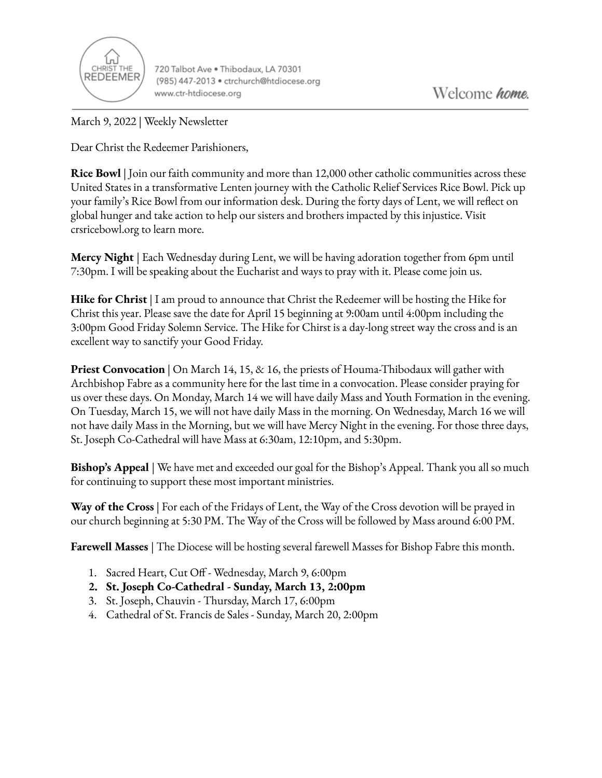

720 Talbot Ave . Thibodaux, LA 70301 (985) 447-2013 · ctrchurch@htdiocese.org www.ctr-htdiocese.org

March 9, 2022 | Weekly Newsletter

Dear Christ the Redeemer Parishioners,

**Rice Bowl** | Join our faith community and more than 12,000 other catholic communities across these United States in a transformative Lenten journey with the Catholic Relief Services Rice Bowl. Pick up your family's Rice Bowl from our information desk. During the forty days of Lent, we will reflect on global hunger and take action to help our sisters and brothers impacted by this injustice. Visit crsricebowl.org to learn more.

**Mercy Night** | Each Wednesday during Lent, we will be having adoration together from 6pm until 7:30pm. I will be speaking about the Eucharist and ways to pray with it. Please come join us.

**Hike for Christ** | I am proud to announce that Christ the Redeemer will be hosting the Hike for Christ this year. Please save the date for April 15 beginning at 9:00am until 4:00pm including the 3:00pm Good Friday Solemn Service. The Hike for Chirst is a day-long street way the cross and is an excellent way to sanctify your Good Friday.

**Priest Convocation** | On March 14, 15, & 16, the priests of Houma-Thibodaux will gather with Archbishop Fabre as a community here for the last time in a convocation. Please consider praying for us over these days. On Monday, March 14 we will have daily Mass and Youth Formation in the evening. On Tuesday, March 15, we will not have daily Mass in the morning. On Wednesday, March 16 we will not have daily Mass in the Morning, but we will have Mercy Night in the evening. For those three days, St. Joseph Co-Cathedral will have Mass at 6:30am, 12:10pm, and 5:30pm.

**Bishop's Appeal** | We have met and exceeded our goal for the Bishop's Appeal. Thank you all so much for continuing to support these most important ministries.

**Way of the Cross** | For each of the Fridays of Lent, the Way of the Cross devotion will be prayed in our church beginning at 5:30 PM. The Way of the Cross will be followed by Mass around 6:00 PM.

**Farewell Masses** | The Diocese will be hosting several farewell Masses for Bishop Fabre this month.

- 1. Sacred Heart, Cut Off Wednesday, March 9, 6:00pm
- **2. St. Joseph Co-Cathedral - Sunday, March 13, 2:00pm**
- 3. St. Joseph, Chauvin Thursday, March 17, 6:00pm
- 4. Cathedral of St. Francis de Sales Sunday, March 20, 2:00pm